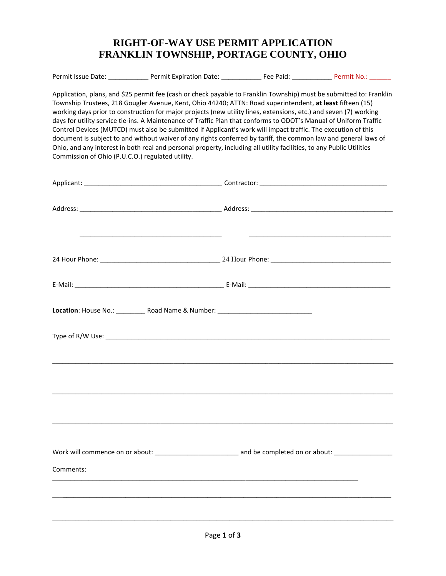## **RIGHT-OF-WAY USE PERMIT APPLICATION FRANKLIN TOWNSHIP, PORTAGE COUNTY, OHIO**

| Application, plans, and \$25 permit fee (cash or check payable to Franklin Township) must be submitted to: Franklin<br>Township Trustees, 218 Gougler Avenue, Kent, Ohio 44240; ATTN: Road superintendent, at least fifteen (15)<br>working days prior to construction for major projects (new utility lines, extensions, etc.) and seven (7) working<br>days for utility service tie-ins. A Maintenance of Traffic Plan that conforms to ODOT's Manual of Uniform Traffic<br>Control Devices (MUTCD) must also be submitted if Applicant's work will impact traffic. The execution of this<br>document is subject to and without waiver of any rights conferred by tariff, the common law and general laws of<br>Ohio, and any interest in both real and personal property, including all utility facilities, to any Public Utilities<br>Commission of Ohio (P.U.C.O.) regulated utility. |  |  |
|--------------------------------------------------------------------------------------------------------------------------------------------------------------------------------------------------------------------------------------------------------------------------------------------------------------------------------------------------------------------------------------------------------------------------------------------------------------------------------------------------------------------------------------------------------------------------------------------------------------------------------------------------------------------------------------------------------------------------------------------------------------------------------------------------------------------------------------------------------------------------------------------|--|--|
|                                                                                                                                                                                                                                                                                                                                                                                                                                                                                                                                                                                                                                                                                                                                                                                                                                                                                            |  |  |
|                                                                                                                                                                                                                                                                                                                                                                                                                                                                                                                                                                                                                                                                                                                                                                                                                                                                                            |  |  |
|                                                                                                                                                                                                                                                                                                                                                                                                                                                                                                                                                                                                                                                                                                                                                                                                                                                                                            |  |  |
|                                                                                                                                                                                                                                                                                                                                                                                                                                                                                                                                                                                                                                                                                                                                                                                                                                                                                            |  |  |
| Location: House No.: ____________ Road Name & Number: ___________________________                                                                                                                                                                                                                                                                                                                                                                                                                                                                                                                                                                                                                                                                                                                                                                                                          |  |  |
|                                                                                                                                                                                                                                                                                                                                                                                                                                                                                                                                                                                                                                                                                                                                                                                                                                                                                            |  |  |
|                                                                                                                                                                                                                                                                                                                                                                                                                                                                                                                                                                                                                                                                                                                                                                                                                                                                                            |  |  |
|                                                                                                                                                                                                                                                                                                                                                                                                                                                                                                                                                                                                                                                                                                                                                                                                                                                                                            |  |  |
|                                                                                                                                                                                                                                                                                                                                                                                                                                                                                                                                                                                                                                                                                                                                                                                                                                                                                            |  |  |
| Comments:                                                                                                                                                                                                                                                                                                                                                                                                                                                                                                                                                                                                                                                                                                                                                                                                                                                                                  |  |  |
|                                                                                                                                                                                                                                                                                                                                                                                                                                                                                                                                                                                                                                                                                                                                                                                                                                                                                            |  |  |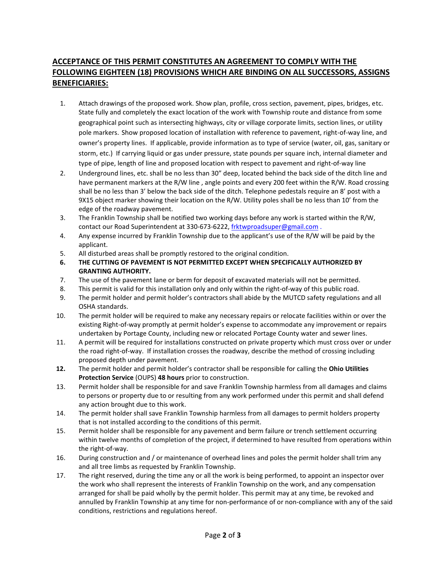## **ACCEPTANCE OF THIS PERMIT CONSTITUTES AN AGREEMENT TO COMPLY WITH THE FOLLOWING EIGHTEEN (18) PROVISIONS WHICH ARE BINDING ON ALL SUCCESSORS, ASSIGNS BENEFICIARIES:**

- 1. Attach drawings of the proposed work. Show plan, profile, cross section, pavement, pipes, bridges, etc. State fully and completely the exact location of the work with Township route and distance from some geographical point such as intersecting highways, city or village corporate limits, section lines, or utility pole markers. Show proposed location of installation with reference to pavement, right-of-way line, and owner's property lines. If applicable, provide information as to type of service (water, oil, gas, sanitary or storm, etc.) If carrying liquid or gas under pressure, state pounds per square inch, internal diameter and type of pipe, length of line and proposed location with respect to pavement and right-of-way line
- 2. Underground lines, etc. shall be no less than 30" deep, located behind the back side of the ditch line and have permanent markers at the R/W line , angle points and every 200 feet within the R/W. Road crossing shall be no less than 3' below the back side of the ditch. Telephone pedestals require an 8' post with a 9X15 object marker showing their location on the R/W. Utility poles shall be no less than 10' from the edge of the roadway pavement.
- 3. The Franklin Township shall be notified two working days before any work is started within the R/W, contact our Road Superintendent at 330-673-6222, [frktwproadsuper@gmail.com](mailto:frktwproadsuper@gmail.com).
- 4. Any expense incurred by Franklin Township due to the applicant's use of the R/W will be paid by the applicant.
- 5. All disturbed areas shall be promptly restored to the original condition.
- **6. THE CUTTING OF PAVEMENT IS NOT PERMITTED EXCEPT WHEN SPECIFICALLY AUTHORIZED BY GRANTING AUTHORITY.**
- 7. The use of the pavement lane or berm for deposit of excavated materials will not be permitted.
- 8. This permit is valid for this installation only and only within the right-of-way of this public road.
- 9. The permit holder and permit holder's contractors shall abide by the MUTCD safety regulations and all OSHA standards.
- 10. The permit holder will be required to make any necessary repairs or relocate facilities within or over the existing Right-of‐way promptly at permit holder's expense to accommodate any improvement or repairs undertaken by Portage County, including new or relocated Portage County water and sewer lines.
- 11. A permit will be required for installations constructed on private property which must cross over or under the road right‐of‐way. If installation crosses the roadway, describe the method of crossing including proposed depth under pavement.
- **12.** The permit holder and permit holder's contractor shall be responsible for calling the **Ohio Utilities Protection Service** (OUPS) **48 hours** prior to construction.
- 13. Permit holder shall be responsible for and save Franklin Township harmless from all damages and claims to persons or property due to or resulting from any work performed under this permit and shall defend any action brought due to this work.
- 14. The permit holder shall save Franklin Township harmless from all damages to permit holders property that is not installed according to the conditions of this permit.
- 15. Permit holder shall be responsible for any pavement and berm failure or trench settlement occurring within twelve months of completion of the project, if determined to have resulted from operations within the right‐of‐way.
- 16. During construction and / or maintenance of overhead lines and poles the permit holder shall trim any and all tree limbs as requested by Franklin Township.
- 17. The right reserved, during the time any or all the work is being performed, to appoint an inspector over the work who shall represent the interests of Franklin Township on the work, and any compensation arranged for shall be paid wholly by the permit holder. This permit may at any time, be revoked and annulled by Franklin Township at any time for non‐performance of or non‐compliance with any of the said conditions, restrictions and regulations hereof.